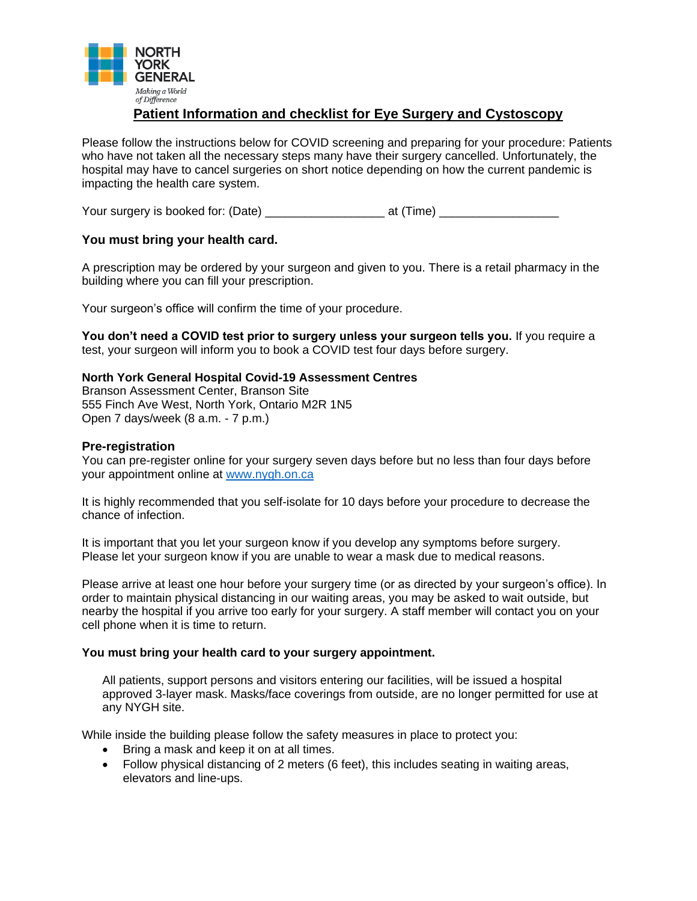

## **Patient Information and checklist for Eye Surgery and Cystoscopy**

Please follow the instructions below for COVID screening and preparing for your procedure: Patients who have not taken all the necessary steps many have their surgery cancelled. Unfortunately, the hospital may have to cancel surgeries on short notice depending on how the current pandemic is impacting the health care system.

Your surgery is booked for: (Date) \_\_\_\_\_\_\_\_\_\_\_\_\_\_\_\_\_\_ at (Time) \_\_\_\_\_\_\_\_\_\_\_\_\_\_\_\_\_\_

## **You must bring your health card.**

A prescription may be ordered by your surgeon and given to you. There is a retail pharmacy in the building where you can fill your prescription.

Your surgeon's office will confirm the time of your procedure.

**You don't need a COVID test prior to surgery unless your surgeon tells you.** If you require a test, your surgeon will inform you to book a COVID test four days before surgery.

## **North York General Hospital Covid-19 Assessment Centres**

Branson Assessment Center, Branson Site 555 Finch Ave West, North York, Ontario M2R 1N5 Open 7 days/week (8 a.m. - 7 p.m.)

## **Pre-registration**

You can pre-register online for your surgery seven days before but no less than four days before your appointment online at [www.nygh.on.ca](http://www.nygh.on.ca/)

It is highly recommended that you self-isolate for 10 days before your procedure to decrease the chance of infection.

It is important that you let your surgeon know if you develop any symptoms before surgery. Please let your surgeon know if you are unable to wear a mask due to medical reasons.

Please arrive at least one hour before your surgery time (or as directed by your surgeon's office). In order to maintain physical distancing in our waiting areas, you may be asked to wait outside, but nearby the hospital if you arrive too early for your surgery. A staff member will contact you on your cell phone when it is time to return.

#### **You must bring your health card to your surgery appointment.**

All patients, support persons and visitors entering our facilities, will be issued a hospital approved 3-layer mask. Masks/face coverings from outside, are no longer permitted for use at any NYGH site.

While inside the building please follow the safety measures in place to protect you:

- Bring a mask and keep it on at all times.
- Follow physical distancing of 2 meters (6 feet), this includes seating in waiting areas, elevators and line-ups.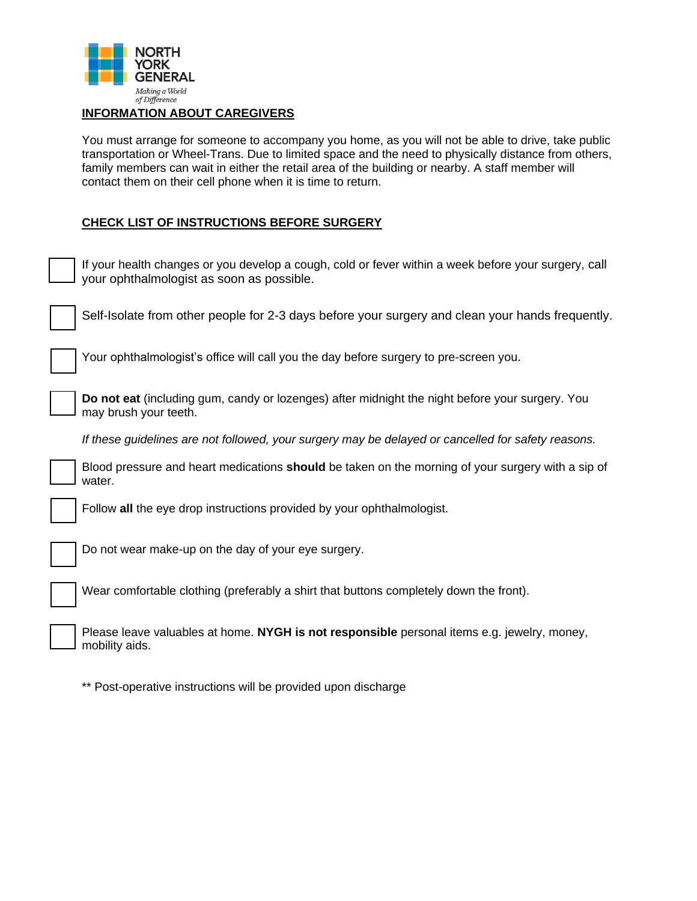

## **INFORMATION ABOUT CAREGIVERS**

You must arrange for someone to accompany you home, as you will not be able to drive, take public transportation or Wheel-Trans. Due to limited space and the need to physically distance from others, family members can wait in either the retail area of the building or nearby. A staff member will contact them on their cell phone when it is time to return.

## **CHECK LIST OF INSTRUCTIONS BEFORE SURGERY**

| If your health changes or you develop a cough, cold or fever within a week before your surgery, call<br>your ophthalmologist as soon as possible. |
|---------------------------------------------------------------------------------------------------------------------------------------------------|
| Self-Isolate from other people for 2-3 days before your surgery and clean your hands frequently.                                                  |
| Your ophthalmologist's office will call you the day before surgery to pre-screen you.                                                             |
| Do not eat (including gum, candy or lozenges) after midnight the night before your surgery. You<br>may brush your teeth.                          |
| If these guidelines are not followed, your surgery may be delayed or cancelled for safety reasons.                                                |
| Blood pressure and heart medications <b>should</b> be taken on the morning of your surgery with a sip of<br>water.                                |
| Follow all the eye drop instructions provided by your ophthalmologist.                                                                            |
| Do not wear make-up on the day of your eye surgery.                                                                                               |
| Wear comfortable clothing (preferably a shirt that buttons completely down the front).                                                            |
| Please leave valuables at home. NYGH is not responsible personal items e.g. jewelry, money,<br>mobility aids.                                     |

\*\* Post-operative instructions will be provided upon discharge